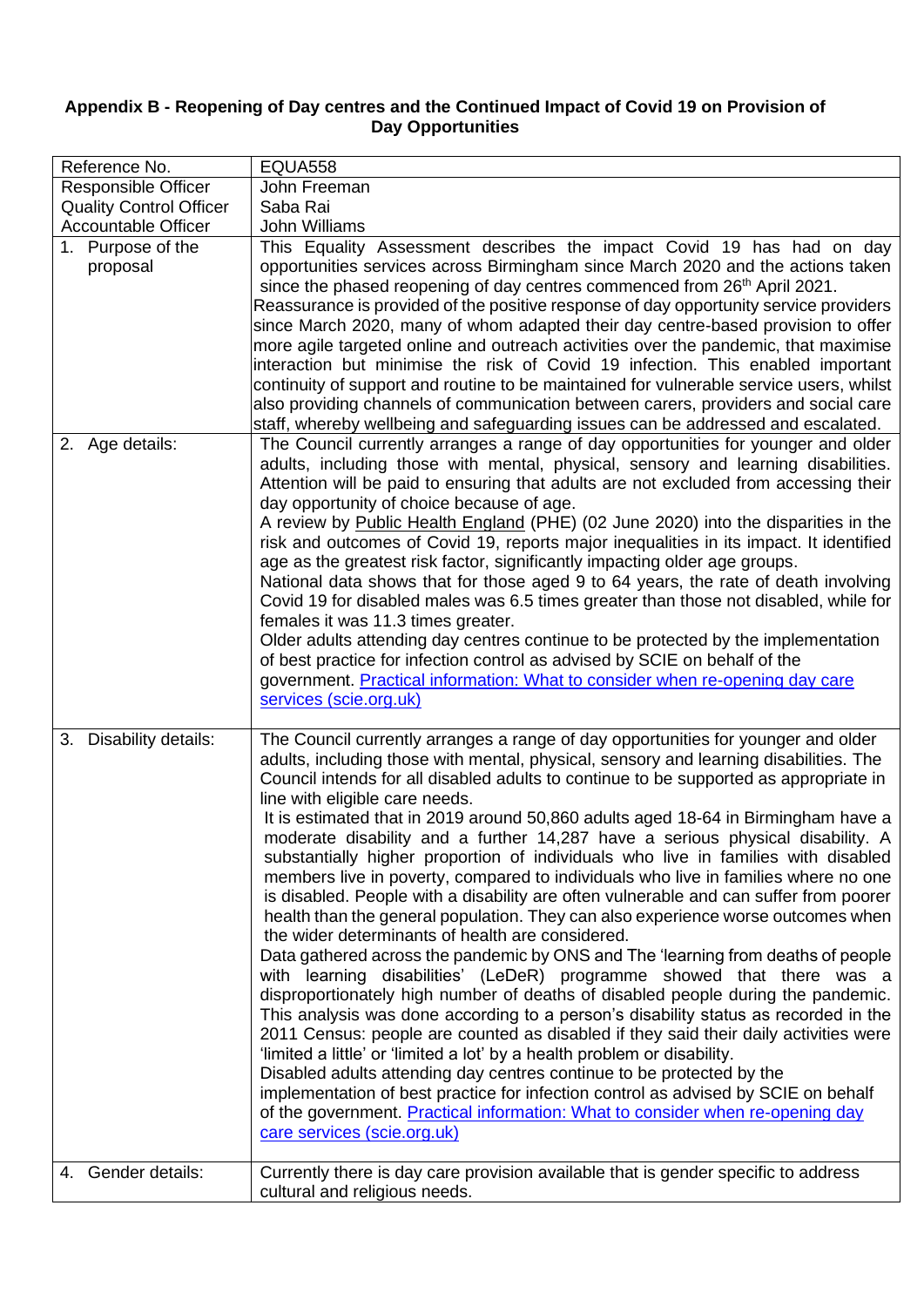## **Appendix B - Reopening of Day centres and the Continued Impact of Covid 19 on Provision of Day Opportunities**

| Reference No.                  | <b>EQUA558</b>                                                                                                                                                                                                                                                                                                                                                                                                                                                                                                                                                                                                                                                                                                                                                                                                                                                                                                                                                                                                                                                                                                                                                                                                                                                                                                                                                                                                                                                                                                                                                                                                                                                                       |
|--------------------------------|--------------------------------------------------------------------------------------------------------------------------------------------------------------------------------------------------------------------------------------------------------------------------------------------------------------------------------------------------------------------------------------------------------------------------------------------------------------------------------------------------------------------------------------------------------------------------------------------------------------------------------------------------------------------------------------------------------------------------------------------------------------------------------------------------------------------------------------------------------------------------------------------------------------------------------------------------------------------------------------------------------------------------------------------------------------------------------------------------------------------------------------------------------------------------------------------------------------------------------------------------------------------------------------------------------------------------------------------------------------------------------------------------------------------------------------------------------------------------------------------------------------------------------------------------------------------------------------------------------------------------------------------------------------------------------------|
| <b>Responsible Officer</b>     | John Freeman                                                                                                                                                                                                                                                                                                                                                                                                                                                                                                                                                                                                                                                                                                                                                                                                                                                                                                                                                                                                                                                                                                                                                                                                                                                                                                                                                                                                                                                                                                                                                                                                                                                                         |
| <b>Quality Control Officer</b> | Saba Rai                                                                                                                                                                                                                                                                                                                                                                                                                                                                                                                                                                                                                                                                                                                                                                                                                                                                                                                                                                                                                                                                                                                                                                                                                                                                                                                                                                                                                                                                                                                                                                                                                                                                             |
| <b>Accountable Officer</b>     | <b>John Williams</b>                                                                                                                                                                                                                                                                                                                                                                                                                                                                                                                                                                                                                                                                                                                                                                                                                                                                                                                                                                                                                                                                                                                                                                                                                                                                                                                                                                                                                                                                                                                                                                                                                                                                 |
| 1. Purpose of the<br>proposal  | This Equality Assessment describes the impact Covid 19 has had on day<br>opportunities services across Birmingham since March 2020 and the actions taken<br>since the phased reopening of day centres commenced from 26 <sup>th</sup> April 2021.<br>Reassurance is provided of the positive response of day opportunity service providers<br>since March 2020, many of whom adapted their day centre-based provision to offer<br>more agile targeted online and outreach activities over the pandemic, that maximise<br>interaction but minimise the risk of Covid 19 infection. This enabled important<br>continuity of support and routine to be maintained for vulnerable service users, whilst<br>also providing channels of communication between carers, providers and social care<br>staff, whereby wellbeing and safeguarding issues can be addressed and escalated.                                                                                                                                                                                                                                                                                                                                                                                                                                                                                                                                                                                                                                                                                                                                                                                                        |
| 2. Age details:                | The Council currently arranges a range of day opportunities for younger and older<br>adults, including those with mental, physical, sensory and learning disabilities.<br>Attention will be paid to ensuring that adults are not excluded from accessing their<br>day opportunity of choice because of age.<br>A review by Public Health England (PHE) (02 June 2020) into the disparities in the<br>risk and outcomes of Covid 19, reports major inequalities in its impact. It identified<br>age as the greatest risk factor, significantly impacting older age groups.<br>National data shows that for those aged 9 to 64 years, the rate of death involving<br>Covid 19 for disabled males was 6.5 times greater than those not disabled, while for<br>females it was 11.3 times greater.<br>Older adults attending day centres continue to be protected by the implementation<br>of best practice for infection control as advised by SCIE on behalf of the<br>government. Practical information: What to consider when re-opening day care<br>services (scie.org.uk)                                                                                                                                                                                                                                                                                                                                                                                                                                                                                                                                                                                                           |
| 3. Disability details:         | The Council currently arranges a range of day opportunities for younger and older<br>adults, including those with mental, physical, sensory and learning disabilities. The<br>Council intends for all disabled adults to continue to be supported as appropriate in<br>line with eligible care needs.<br>It is estimated that in 2019 around 50,860 adults aged 18-64 in Birmingham have a<br>moderate disability and a further 14,287 have a serious physical disability. A<br>substantially higher proportion of individuals who live in families with disabled<br>members live in poverty, compared to individuals who live in families where no one<br>is disabled. People with a disability are often vulnerable and can suffer from poorer<br>health than the general population. They can also experience worse outcomes when<br>the wider determinants of health are considered.<br>Data gathered across the pandemic by ONS and The 'learning from deaths of people<br>with learning disabilities' (LeDeR) programme showed that there was a<br>disproportionately high number of deaths of disabled people during the pandemic.<br>This analysis was done according to a person's disability status as recorded in the<br>2011 Census: people are counted as disabled if they said their daily activities were<br>'limited a little' or 'limited a lot' by a health problem or disability.<br>Disabled adults attending day centres continue to be protected by the<br>implementation of best practice for infection control as advised by SCIE on behalf<br>of the government. Practical information: What to consider when re-opening day<br>care services (scie.org.uk) |
| 4. Gender details:             | Currently there is day care provision available that is gender specific to address<br>cultural and religious needs.                                                                                                                                                                                                                                                                                                                                                                                                                                                                                                                                                                                                                                                                                                                                                                                                                                                                                                                                                                                                                                                                                                                                                                                                                                                                                                                                                                                                                                                                                                                                                                  |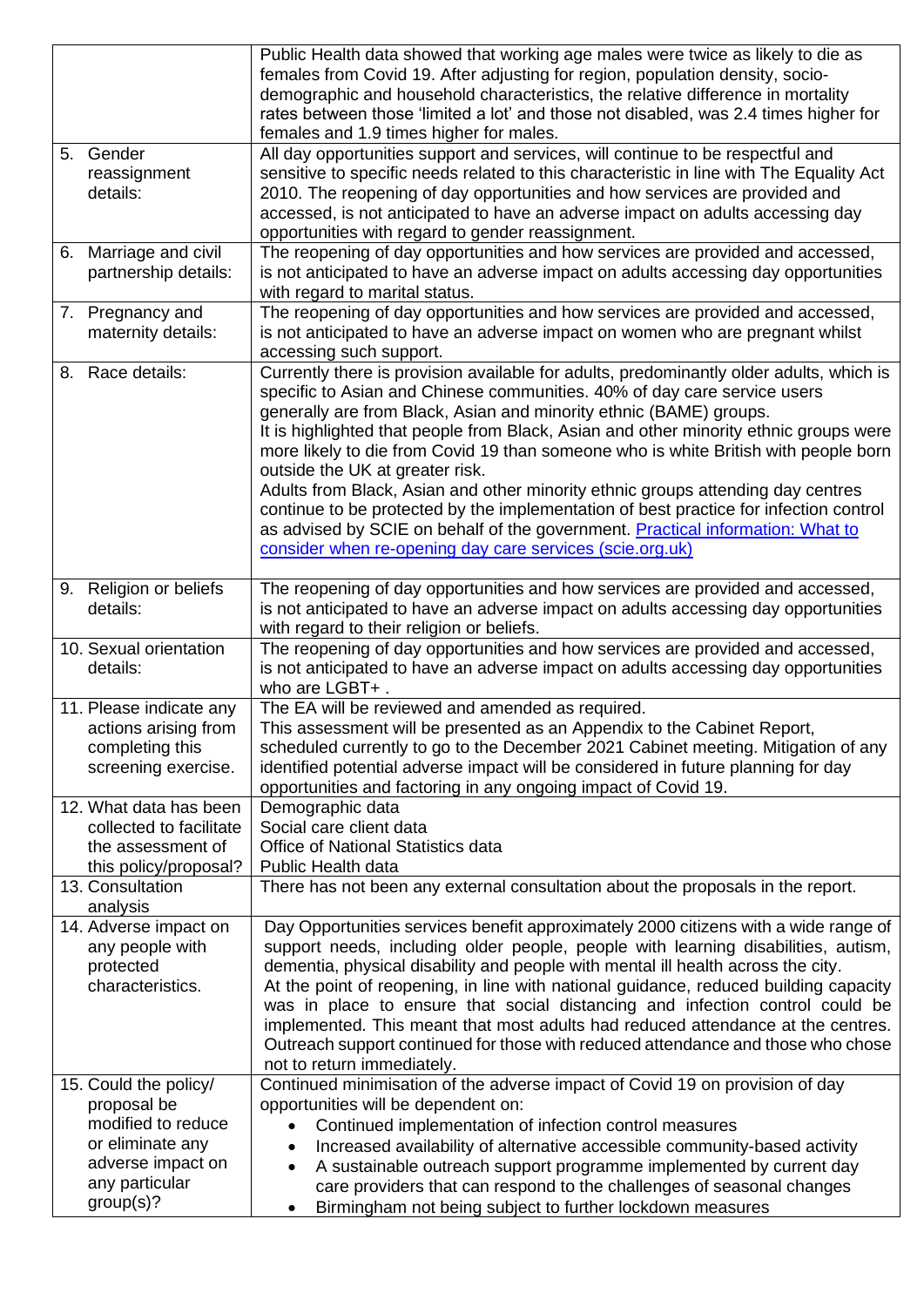|                         | Public Health data showed that working age males were twice as likely to die as          |
|-------------------------|------------------------------------------------------------------------------------------|
|                         | females from Covid 19. After adjusting for region, population density, socio-            |
|                         | demographic and household characteristics, the relative difference in mortality          |
|                         | rates between those 'limited a lot' and those not disabled, was 2.4 times higher for     |
|                         | females and 1.9 times higher for males.                                                  |
| 5. Gender               | All day opportunities support and services, will continue to be respectful and           |
| reassignment            | sensitive to specific needs related to this characteristic in line with The Equality Act |
| details:                | 2010. The reopening of day opportunities and how services are provided and               |
|                         | accessed, is not anticipated to have an adverse impact on adults accessing day           |
|                         | opportunities with regard to gender reassignment.                                        |
| 6. Marriage and civil   | The reopening of day opportunities and how services are provided and accessed,           |
| partnership details:    | is not anticipated to have an adverse impact on adults accessing day opportunities       |
|                         | with regard to marital status.                                                           |
| 7. Pregnancy and        | The reopening of day opportunities and how services are provided and accessed,           |
| maternity details:      | is not anticipated to have an adverse impact on women who are pregnant whilst            |
|                         | accessing such support.                                                                  |
|                         |                                                                                          |
| 8. Race details:        | Currently there is provision available for adults, predominantly older adults, which is  |
|                         | specific to Asian and Chinese communities. 40% of day care service users                 |
|                         | generally are from Black, Asian and minority ethnic (BAME) groups.                       |
|                         | It is highlighted that people from Black, Asian and other minority ethnic groups were    |
|                         | more likely to die from Covid 19 than someone who is white British with people born      |
|                         | outside the UK at greater risk.                                                          |
|                         | Adults from Black, Asian and other minority ethnic groups attending day centres          |
|                         | continue to be protected by the implementation of best practice for infection control    |
|                         | as advised by SCIE on behalf of the government. Practical information: What to           |
|                         | consider when re-opening day care services (scie.org.uk)                                 |
|                         |                                                                                          |
| 9. Religion or beliefs  | The reopening of day opportunities and how services are provided and accessed,           |
| details:                | is not anticipated to have an adverse impact on adults accessing day opportunities       |
|                         | with regard to their religion or beliefs.                                                |
| 10. Sexual orientation  | The reopening of day opportunities and how services are provided and accessed,           |
| details:                | is not anticipated to have an adverse impact on adults accessing day opportunities       |
|                         | who are LGBT+.                                                                           |
| 11. Please indicate any | The EA will be reviewed and amended as required.                                         |
| actions arising from    | This assessment will be presented as an Appendix to the Cabinet Report,                  |
| completing this         | scheduled currently to go to the December 2021 Cabinet meeting. Mitigation of any        |
| screening exercise.     | identified potential adverse impact will be considered in future planning for day        |
|                         | opportunities and factoring in any ongoing impact of Covid 19.                           |
| 12. What data has been  | Demographic data                                                                         |
| collected to facilitate | Social care client data                                                                  |
| the assessment of       | Office of National Statistics data                                                       |
| this policy/proposal?   | Public Health data                                                                       |
| 13. Consultation        | There has not been any external consultation about the proposals in the report.          |
| analysis                |                                                                                          |
| 14. Adverse impact on   | Day Opportunities services benefit approximately 2000 citizens with a wide range of      |
| any people with         | support needs, including older people, people with learning disabilities, autism,        |
| protected               | dementia, physical disability and people with mental ill health across the city.         |
| characteristics.        | At the point of reopening, in line with national guidance, reduced building capacity     |
|                         | was in place to ensure that social distancing and infection control could be             |
|                         | implemented. This meant that most adults had reduced attendance at the centres.          |
|                         | Outreach support continued for those with reduced attendance and those who chose         |
|                         | not to return immediately.                                                               |
| 15. Could the policy/   | Continued minimisation of the adverse impact of Covid 19 on provision of day             |
| proposal be             | opportunities will be dependent on:                                                      |
| modified to reduce      | Continued implementation of infection control measures                                   |
| or eliminate any        | Increased availability of alternative accessible community-based activity                |
| adverse impact on       | A sustainable outreach support programme implemented by current day<br>$\bullet$         |
| any particular          | care providers that can respond to the challenges of seasonal changes                    |
| group(s)?               | Birmingham not being subject to further lockdown measures                                |
|                         |                                                                                          |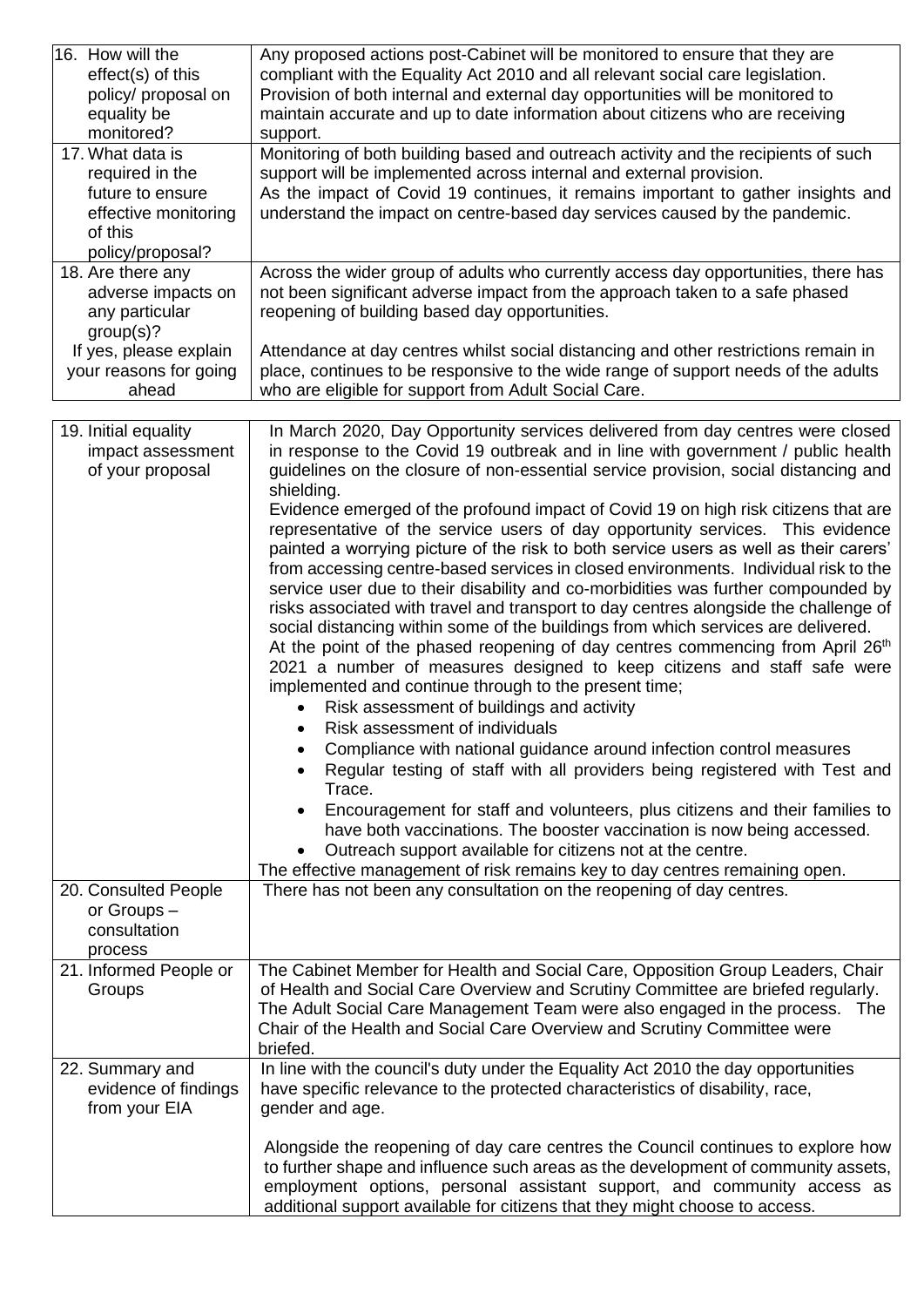| 16. How will the                                 | Any proposed actions post-Cabinet will be monitored to ensure that they are                                                                                               |
|--------------------------------------------------|---------------------------------------------------------------------------------------------------------------------------------------------------------------------------|
| effect(s) of this                                | compliant with the Equality Act 2010 and all relevant social care legislation.                                                                                            |
| policy/ proposal on<br>equality be               | Provision of both internal and external day opportunities will be monitored to<br>maintain accurate and up to date information about citizens who are receiving           |
| monitored?                                       | support.                                                                                                                                                                  |
| 17. What data is                                 | Monitoring of both building based and outreach activity and the recipients of such                                                                                        |
| required in the                                  | support will be implemented across internal and external provision.                                                                                                       |
| future to ensure                                 | As the impact of Covid 19 continues, it remains important to gather insights and                                                                                          |
| effective monitoring                             | understand the impact on centre-based day services caused by the pandemic.                                                                                                |
| of this                                          |                                                                                                                                                                           |
| policy/proposal?                                 |                                                                                                                                                                           |
| 18. Are there any                                | Across the wider group of adults who currently access day opportunities, there has                                                                                        |
| adverse impacts on                               | not been significant adverse impact from the approach taken to a safe phased                                                                                              |
| any particular                                   | reopening of building based day opportunities.                                                                                                                            |
| group(s)?                                        |                                                                                                                                                                           |
| If yes, please explain<br>your reasons for going | Attendance at day centres whilst social distancing and other restrictions remain in<br>place, continues to be responsive to the wide range of support needs of the adults |
| ahead                                            | who are eligible for support from Adult Social Care.                                                                                                                      |
|                                                  |                                                                                                                                                                           |
| 19. Initial equality                             | In March 2020, Day Opportunity services delivered from day centres were closed                                                                                            |
| impact assessment                                | in response to the Covid 19 outbreak and in line with government / public health                                                                                          |
| of your proposal                                 | guidelines on the closure of non-essential service provision, social distancing and                                                                                       |
|                                                  | shielding.                                                                                                                                                                |
|                                                  | Evidence emerged of the profound impact of Covid 19 on high risk citizens that are                                                                                        |
|                                                  | representative of the service users of day opportunity services. This evidence                                                                                            |
|                                                  | painted a worrying picture of the risk to both service users as well as their carers'                                                                                     |
|                                                  | from accessing centre-based services in closed environments. Individual risk to the<br>service user due to their disability and co-morbidities was further compounded by  |
|                                                  | risks associated with travel and transport to day centres alongside the challenge of                                                                                      |
|                                                  | social distancing within some of the buildings from which services are delivered.                                                                                         |
|                                                  | At the point of the phased reopening of day centres commencing from April 26th                                                                                            |
|                                                  | 2021 a number of measures designed to keep citizens and staff safe were                                                                                                   |
|                                                  | implemented and continue through to the present time;                                                                                                                     |
|                                                  | Risk assessment of buildings and activity                                                                                                                                 |
|                                                  | Risk assessment of individuals<br>$\bullet$                                                                                                                               |
|                                                  | Compliance with national guidance around infection control measures                                                                                                       |
|                                                  | Regular testing of staff with all providers being registered with Test and                                                                                                |
|                                                  | Trace.                                                                                                                                                                    |
|                                                  | Encouragement for staff and volunteers, plus citizens and their families to                                                                                               |
|                                                  | have both vaccinations. The booster vaccination is now being accessed.                                                                                                    |
|                                                  | Outreach support available for citizens not at the centre.<br>The effective management of risk remains key to day centres remaining open.                                 |
| 20. Consulted People                             | There has not been any consultation on the reopening of day centres.                                                                                                      |
| or Groups -                                      |                                                                                                                                                                           |
| consultation                                     |                                                                                                                                                                           |
| process                                          |                                                                                                                                                                           |
| 21. Informed People or                           | The Cabinet Member for Health and Social Care, Opposition Group Leaders, Chair                                                                                            |
| Groups                                           | of Health and Social Care Overview and Scrutiny Committee are briefed regularly.                                                                                          |
|                                                  | The Adult Social Care Management Team were also engaged in the process. The                                                                                               |
|                                                  | Chair of the Health and Social Care Overview and Scrutiny Committee were                                                                                                  |
|                                                  | briefed.                                                                                                                                                                  |
| 22. Summary and<br>evidence of findings          | In line with the council's duty under the Equality Act 2010 the day opportunities<br>have specific relevance to the protected characteristics of disability, race,        |
| from your EIA                                    | gender and age.                                                                                                                                                           |
|                                                  |                                                                                                                                                                           |
|                                                  | Alongside the reopening of day care centres the Council continues to explore how                                                                                          |
|                                                  | to further shape and influence such areas as the development of community assets,                                                                                         |
|                                                  | employment options, personal assistant support, and community access as                                                                                                   |
|                                                  | additional support available for citizens that they might choose to access.                                                                                               |